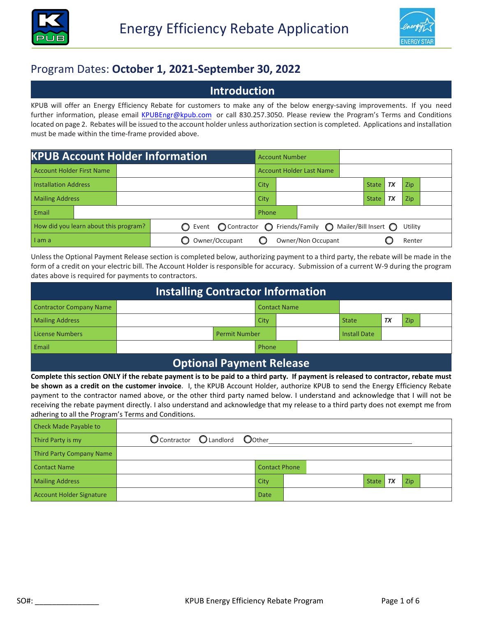



# Program Dates: **October 1, 2021-September 30, 2022**

#### **Introduction**

KPUB will offer an Energy Efficiency Rebate for customers to make any of the below energy-saving improvements. If you need further information, please email KPUBEngr@kpub.com [or call 830.257.3050.](mailto:KPUBEngr@kpub.com?subject=Energy%20Efficiency%20Rebate%20Inquiry) Please review the Program's Terms and Conditions located on page 2. Rebates will be issued to the account holder unless authorization section is completed. Applications and installation must be made within the time-frame provided above.

| <b>KPUB Account Holder Information</b> |                                 |                                                              |       |  | <b>Account Number</b>            |  |              |    |         |  |
|----------------------------------------|---------------------------------|--------------------------------------------------------------|-------|--|----------------------------------|--|--------------|----|---------|--|
| <b>Account Holder First Name</b>       | <b>Account Holder Last Name</b> |                                                              |       |  |                                  |  |              |    |         |  |
| <b>Installation Address</b>            |                                 |                                                              | City  |  | <b>TX</b><br>Zip<br><b>State</b> |  |              |    |         |  |
| <b>Mailing Address</b>                 |                                 |                                                              |       |  |                                  |  | <b>State</b> | TX | Zip     |  |
| Email                                  |                                 |                                                              | Phone |  |                                  |  |              |    |         |  |
| How did you learn about this program?  |                                 | ○ Event ○ Contractor ○ Friends/Family ○ Mailer/Bill Insert ○ |       |  |                                  |  |              |    | Utility |  |
| I am a                                 |                                 | Owner/Occupant                                               |       |  | Owner/Non Occupant               |  |              |    | Renter  |  |

Unless the Optional Payment Release section is completed below, authorizing payment to a third party, the rebate will be made in the form of a credit on your electric bill. The Account Holder is responsible for accuracy. Submission of a current W-9 during the program dates above is required for payments to contractors.

| <b>Installing Contractor Information</b> |  |                      |       |                     |                     |    |     |  |  |  |  |
|------------------------------------------|--|----------------------|-------|---------------------|---------------------|----|-----|--|--|--|--|
| <b>Contractor Company Name</b>           |  |                      |       | <b>Contact Name</b> |                     |    |     |  |  |  |  |
| <b>Mailing Address</b>                   |  |                      | City  |                     | <b>State</b>        | TX | Zip |  |  |  |  |
| <b>License Numbers</b>                   |  | <b>Permit Number</b> |       |                     | <b>Install Date</b> |    |     |  |  |  |  |
| Email                                    |  |                      | Phone |                     |                     |    |     |  |  |  |  |
| <b>Optional Payment Release</b>          |  |                      |       |                     |                     |    |     |  |  |  |  |

#### **Complete this section ONLY if the rebate payment is to be paid to a third party. If payment is released to contractor, rebate must be shown as a credit on the customer invoice**. I, the KPUB Account Holder, authorize KPUB to send the Energy Efficiency Rebate payment to the contractor named above, or the other third party named below. I understand and acknowledge that I will not be receiving the rebate payment directly. I also understand and acknowledge that my release to a third party does not exempt me from adhering to all the Program's Terms and Conditions.

| Check Made Payable to           |                                 |  |                      |  |              |    |     |  |
|---------------------------------|---------------------------------|--|----------------------|--|--------------|----|-----|--|
| Third Party is my               | O Contractor O Landlord O Other |  |                      |  |              |    |     |  |
| Third Party Company Name        |                                 |  |                      |  |              |    |     |  |
| <b>Contact Name</b>             |                                 |  | <b>Contact Phone</b> |  |              |    |     |  |
| <b>Mailing Address</b>          |                                 |  | <b>City</b>          |  | <b>State</b> | TX | Zip |  |
| <b>Account Holder Signature</b> |                                 |  | Date                 |  |              |    |     |  |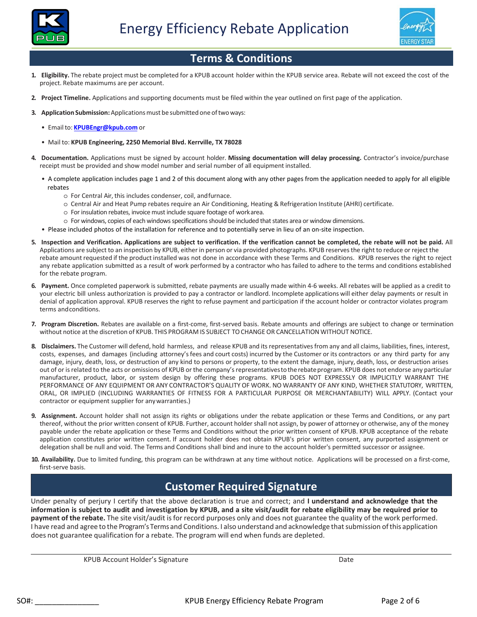



## **Terms & Conditions**

- **1. Eligibility.** The rebate project must be completed for a KPUB account holder within the KPUB service area. Rebate will not exceed the cost of the project. Rebate maximums are per account.
- **2. Project Timeline.** Applications and supporting documents must be filed within the year outlined on first page of the application.
- **3. Application Submission:**Applicationsmust be submittedoneoftwoways:
	- Emailto: **KPUBEngr@kpub.com** or
	- Mail to: **KPUB Engineering, 2250 Memorial Blvd. Kerrville, TX 78028**
- **4. Documentation.** Applications must be signed by account holder. **Missing documentation will delay processing.** Contractor's invoice/purchase receipt must be provided and show model number and serial number of all equipment installed.
	- A complete application includes page 1 and 2 of this document along with any other pages from the application needed to apply for all eligible rebates
		- o For Central Air, this includes condenser, coil, andfurnace.
		- o Central Air and Heat Pump rebates require an Air Conditioning, Heating & Refrigeration Institute (AHRI) certificate.
		- o For insulation rebates, invoice must include square footage of workarea.
		- o For windows, copies of each windows specifications should be included that states area or window dimensions.
	- Please included photos of the installation for reference and to potentially serve in lieu of an on-site inspection.
- **5. Inspection and Verification. Applications are subject to verification. If the verification cannot be completed, the rebate will not be paid.** All Applications are subject to an inspection by KPUB, either in person or via provided photographs. KPUB reserves the right to reduce or reject the rebate amount requested if the product installed was not done in accordance with these Terms and Conditions. KPUB reserves the right to reject any rebate application submitted as a result of work performed by a contractor who has failed to adhere to the terms and conditions established for the rebate program.
- **6. Payment.** Once completed paperwork is submitted, rebate payments are usually made within 4-6 weeks. All rebates will be applied as a credit to your electric bill unless authorization is provided to pay a contractor or landlord. Incomplete applications will either delay payments or result in denial of application approval. KPUB reserves the right to refuse payment and participation if the account holder or contractor violates program terms andconditions.
- **7. Program Discretion.** Rebates are available on a first-come, first-served basis. Rebate amounts and offerings are subject to change or termination without notice at the discretion of KPUB. THIS PROGRAM IS SUBJECT TOCHANGE OR CANCELLATION WITHOUT NOTICE.
- **8. Disclaimers.** The Customer will defend, hold harmless, and release KPUB and its representatives from any and all claims, liabilities, fines, interest, costs, expenses, and damages (including attorney'sfees and court costs) incurred by the Customer or its contractors or any third party for any damage, injury, death, loss, or destruction of any kind to persons or property, to the extent the damage, injury, death, loss, or destruction arises out of or is related to the acts or omissions of KPUB or the company's representatives to the rebate program. KPUB does not endorse any particular manufacturer, product, labor, or system design by offering these programs. KPUB DOES NOT EXPRESSLY OR IMPLICITLY WARRANT THE PERFORMANCE OF ANY EQUIPMENT OR ANY CONTRACTOR'S QUALITY OF WORK. NO WARRANTY OF ANY KIND, WHETHER STATUTORY, WRITTEN, ORAL, OR IMPLIED (INCLUDING WARRANTIES OF FITNESS FOR A PARTICULAR PURPOSE OR MERCHANTABILITY) WILL APPLY. (Contact your contractor or equipment supplier for anywarranties.)
- **9. Assignment.** Account holder shall not assign its rights or obligations under the rebate application or these Terms and Conditions, or any part thereof, without the prior written consent of KPUB. Further, account holder shall not assign, by power of attorney or otherwise, any of the money payable under the rebate application or these Terms and Conditions without the prior written consent of KPUB. KPUB acceptance of the rebate application constitutes prior written consent. If account holder does not obtain KPUB's prior written consent, any purported assignment or delegation shall be null and void. The Terms and Conditions shall bind and inure to the account holder's permitted successor or assignee.
- **10. Availability.** Due to limited funding, this program can be withdrawn at any time without notice. Applications will be processed on a first-come, first-serve basis.

## **Customer Required Signature**

Under penalty of perjury I certify that the above declaration is true and correct; and **I understand and acknowledge that the information is subject to audit and investigation by KPUB, and a site visit/audit for rebate eligibility may be required prior to payment of the rebate.** The site visit/audit is for record purposes only and does not guarantee the quality of the work performed. I have read and agree to the Program's Terms and Conditions. I also understand and acknowledge thatsubmission ofthis application does not guarantee qualification for a rebate. The program will end when funds are depleted.

KPUB Account Holder's Signature **Date** Date of the Date of the Date of the Date of the Date of the Date of the Date of the Date of the Date of the Date of the Date of the Date of the Date of the Date of the Date of the Dat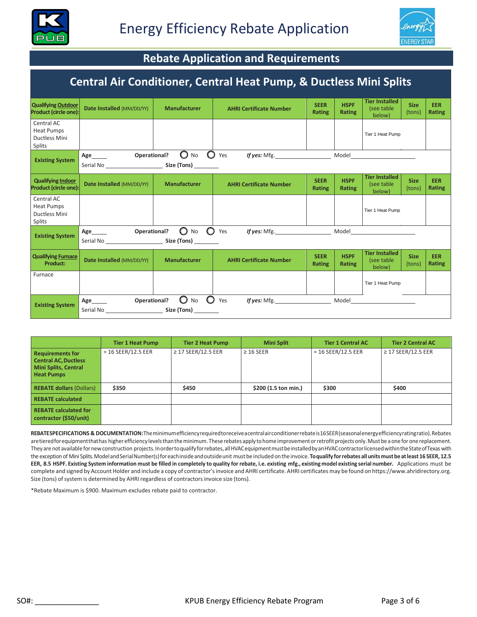



# **Rebate Application and Requirements**

#### **Central Air Conditioner, Central Heat Pump, & Ductless Mini Splits Qualifying Outdoor Product (circle one): Date Installed** (MM/DD/YY) **Manufacturer AHRI Certificate Number SEER Rating HSPF Rating Tier Installed**  (see table below) **Size** (tons) **EER Rating** Central AC Heat Pumps Ductless Mini Splits **Existing System Age Operational?** On No C Yes *If yes:* Mfg. Model Serial No **Size** (Tons) **Qualifying Indoor Product (COVIDER)**<br>**Product (CIRCLE ONE)**<br>**Product of the Manufacturer AHRI Certificate Number Product Rating HSPF Rating Tier Installed**  (see table below) **Size**  (tons) **EER Rating** Central AC Heat Pumps Ductless Mini Splits **Existing System Age Operational? O** No **O** Yes *If yes:* Mfg. Model Serial No **Size** (Tons) **Qualifying Furnace Product: Date Installed** (MM/DD/YY) **Manufacturer AHRI Certificate Number SEER Rating HSPF Rating Tier Installed**  (see table below) **Size**  (tons) **EER Rating** Furnace **Existing System Age Operational?** O No O Yes *If yes:* Mfg. Model Serial No **Size (Tons)** Tier 1 Heat Pump Tier 1 Heat Pump Tier 1 Heat Pump

|                                                                                                            | <b>Tier 1 Heat Pump</b> | <b>Tier 2 Heat Pump</b> | <b>Mini Split</b>    | <b>Tier 1 Central AC</b> | <b>Tier 2 Central AC</b> |
|------------------------------------------------------------------------------------------------------------|-------------------------|-------------------------|----------------------|--------------------------|--------------------------|
| <b>Requirements for</b><br><b>Central AC, Ductless</b><br><b>Mini Splits, Central</b><br><b>Heat Pumps</b> | $= 16$ SEER/12.5 EER    | $\geq$ 17 SEER/12.5 EER | $\geq$ 16 SEER       | $= 16$ SEER/12.5 EER     | $\geq$ 17 SEER/12.5 EER  |
| <b>REBATE dollars (Dollars)</b>                                                                            | \$350                   | \$450                   | \$200 (1.5 ton min.) | \$300                    | \$400                    |
| <b>REBATE calculated</b>                                                                                   |                         |                         |                      |                          |                          |
| <b>REBATE calculated for</b><br>contractor (\$50/unit)                                                     |                         |                         |                      |                          |                          |

**REBATESPECIFICATIONS & DOCUMENTATION:**Theminimumefficiencyrequiredtoreceive a centralairconditionerrebateis16SEER(seasonalenergyefficiencyratingratio).Rebates are tiered for equipment that has higher efficiency levels than the minimum. These rebates apply to home improvement or retrofit projects only. Must be a one for one replacement. They are not available for new construction projects. In order to qualify for rebates, all HVAC equipment must be installed by an HVAC contractor licensed within the State of Texas with the exception of Mini Splits. Model and Serial Number(s) for each inside and outside unit must be included on the invoice. To qualify for rebates all units must be at least 16 SEER, 12.5 EER, 8.5 HSPF. Existing System information must be filled in completely to quality for rebate, i.e. existing mfg., existing model existing serial number. Applications must be complete and signed by Account Holder and include a copy of contractor'sinvoice and AHRI certificate. AHRI certificates may be found on https://www.ahridirectory.org. Size (tons) of system is determined by AHRI regardless of contractors invoice size (tons).

\*Rebate Maximum is \$900. Maximum excludes rebate paid to contractor.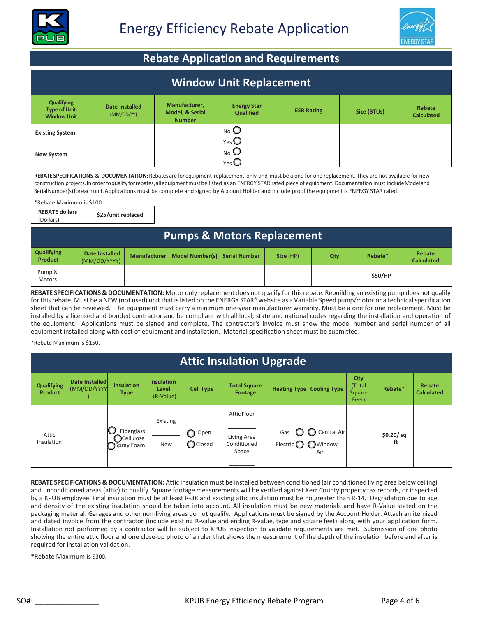



# **Rebate Application and Requirements**

|                                                                 | <b>Window Unit Replacement</b>      |                                                   |                                                            |                   |             |                             |  |  |  |  |  |
|-----------------------------------------------------------------|-------------------------------------|---------------------------------------------------|------------------------------------------------------------|-------------------|-------------|-----------------------------|--|--|--|--|--|
| <b>Qualifying</b><br><b>Type of Unit:</b><br><b>Window Unit</b> | <b>Date Installed</b><br>(MM/DD/YY) | Manufacturer,<br>Model, & Serial<br><b>Number</b> | <b>Energy Star</b><br><b>Qualified</b>                     | <b>EER Rating</b> | Size (BTUs) | Rebate<br><b>Calculated</b> |  |  |  |  |  |
| <b>Existing System</b>                                          |                                     |                                                   | $N$ o $\bigcirc$<br>$Yes$ <sup><math>\bigcirc</math></sup> |                   |             |                             |  |  |  |  |  |
| <b>New System</b>                                               |                                     |                                                   | $N_{\rm O}$ $\bullet$<br>YesC                              |                   |             |                             |  |  |  |  |  |

**REBATESPECIFICATIONS & DOCUMENTATION:**Rebates are forequipment replacement only and must be a one for one replacement. They are not available for new construction projects.In order to qualify for rebates, all equipment must be listed as an ENERGY STAR rated piece of equipment. Documentation must include Modeland Serial Number(s) foreachunit. Applications must be complete and signed by Account Holder and include proof the equipment is ENERGY STAR rated.

\*Rebate Maximum is \$100.

**REBATE dollars**  (Dollars) **\$25/unit replaced**

|                                     | <b>Pumps &amp; Motors Replacement</b> |                     |                               |  |           |     |         |                             |  |  |  |
|-------------------------------------|---------------------------------------|---------------------|-------------------------------|--|-----------|-----|---------|-----------------------------|--|--|--|
| <b>Qualifying</b><br><b>Product</b> | Date Installed<br>(MM/DD/YYYY)        | <b>Manufacturer</b> | Model Number(s) Serial Number |  | Size (HP) | Qty | Rebate* | Rebate<br><b>Calculated</b> |  |  |  |
| Pump &<br><b>Motors</b>             |                                       |                     |                               |  |           |     | \$50/HP |                             |  |  |  |

**REBATE SPECIFICATIONS & DOCUMENTATION:** Motor only replacement does not qualify for this rebate. Rebuilding an existing pump does not qualify for this rebate. Must be a NEW (not used) unit that islisted on the ENERGY STAR® website as a Variable Speed pump/motor or a technical specification sheet that can be reviewed. The equipment must carry a minimum one-year manufacturer warranty. Must be a one for one replacement. Must be installed by a licensed and bonded contractor and be compliant with all local, state and national codes regarding the installation and operation of the equipment.Applications must be signed and complete. The contractor's invoice must show the model number and serial number of all equipment installed along with cost of equipment and installation. Material specification sheet must be submitted.

\*Rebate Maximum is \$150.

|                                     | <b>Attic Insulation Upgrade</b> |                                                |                                         |                              |                                           |                             |                       |                                         |                 |                             |  |  |
|-------------------------------------|---------------------------------|------------------------------------------------|-----------------------------------------|------------------------------|-------------------------------------------|-----------------------------|-----------------------|-----------------------------------------|-----------------|-----------------------------|--|--|
| <b>Qualifying</b><br><b>Product</b> | Date Installed<br>(MM/DD/YYYY   | <b>Insulation</b><br><b>Type</b>               | <b>Insulation</b><br>Level<br>(R-Value) | <b>Cell Type</b>             | <b>Total Square</b><br>Footage            | <b>Heating Type</b>         | <b>Cooling Type</b>   | Qty<br>(Total<br><b>Square</b><br>Feet) | Rebate*         | Rebate<br><b>Calculated</b> |  |  |
| Attic<br>Insulation                 |                                 | Fiberglass<br><b>O</b> Cellulose<br>Spray Foam | Existing<br>New                         | O<br>Open<br><b>O</b> Closed | Attic Floor<br>Living Area<br>Conditioned | Gas<br>Electric $\mathbb C$ | Central Air<br>Window |                                         | \$0.20/sq<br>ft |                             |  |  |
|                                     |                                 |                                                |                                         |                              | Space                                     |                             | Air                   |                                         |                 |                             |  |  |

**REBATE SPECIFICATIONS & DOCUMENTATION:** Attic insulation must be installed between conditioned (air conditioned living area below ceiling) and unconditioned areas (attic) to qualify. Square footage measurements will be verified against Kerr County property tax records, or inspected by a KPUB employee. Final insulation must be at least R-38 and existing attic insulation must be no greater than R-14. Degradation due to age and density of the existing insulation should be taken into account. All insulation must be new materials and have R-Value stated on the packaging material. Garages and other non-living areas do not qualify.Applications must be signed by the Account Holder. Attach an itemized and dated invoice from the contractor (include existing R-value and ending R-value, type and square feet) along with your application form. Installation not performed by a contractor will be subject to KPUB inspection to validate requirements are met. Submission of one photo showing the entire attic floor and one close-up photo of a ruler that shows the measurement of the depth of the insulation before and after is required for installation validation.

\*Rebate Maximum is \$300.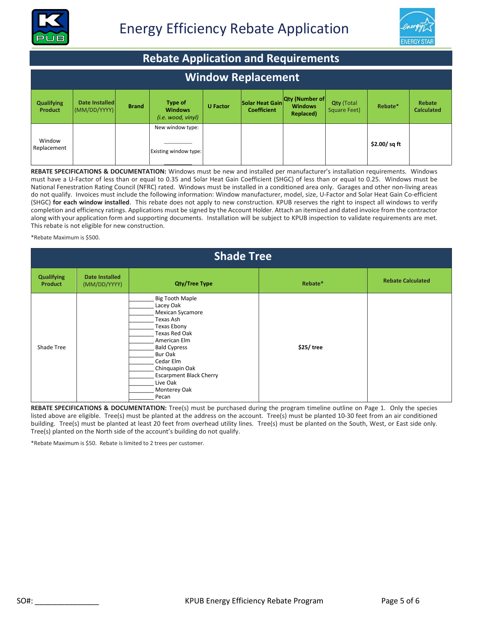



|                                     | <b>Rebate Application and Requirements</b> |              |                                                |                 |                                       |                                                      |                                   |             |                             |  |  |  |
|-------------------------------------|--------------------------------------------|--------------|------------------------------------------------|-----------------|---------------------------------------|------------------------------------------------------|-----------------------------------|-------------|-----------------------------|--|--|--|
| <b>Window Replacement</b>           |                                            |              |                                                |                 |                                       |                                                      |                                   |             |                             |  |  |  |
| <b>Qualifying</b><br><b>Product</b> | Date Installed<br>(MM/DD/YYYY)             | <b>Brand</b> | Type of<br><b>Windows</b><br>(i.e. wood, viny) | <b>U</b> Factor | Solar Heat Gain<br><b>Coefficient</b> | <b>Qty (Number of</b><br><b>Windows</b><br>Replaced) | <b>Qty (Total</b><br>Square Feet) | Rebate*     | Rebate<br><b>Calculated</b> |  |  |  |
| Window<br>Replacement               |                                            |              | New window type:<br>Existing window type:      |                 |                                       |                                                      |                                   | \$2.00/sqft |                             |  |  |  |

**REBATE SPECIFICATIONS & DOCUMENTATION:** Windows must be new and installed per manufacturer's installation requirements. Windows must have a U-Factor of less than or equal to 0.35 and Solar Heat Gain Coefficient (SHGC) of less than or equal to 0.25. Windows must be National Fenestration Rating Council (NFRC) rated. Windows must be installed in a conditioned area only. Garages and other non-living areas do not qualify. Invoices must include the following information: Window manufacturer, model, size, U-Factor and Solar Heat Gain Co-efficient (SHGC) **for each window installed**. This rebate does not apply to new construction. KPUB reserves the right to inspect all windows to verify completion and efficiency ratings. Applications must be signed by the Account Holder. Attach an itemized and dated invoice from the contractor along with your application form and supporting documents. Installation will be subject to KPUB inspection to validate requirements are met. This rebate is not eligible for new construction.

\*Rebate Maximum is \$500.

|                                     | <b>Shade Tree</b>              |                                                                                                                                                                                                                                                              |            |                          |  |  |  |  |  |  |  |
|-------------------------------------|--------------------------------|--------------------------------------------------------------------------------------------------------------------------------------------------------------------------------------------------------------------------------------------------------------|------------|--------------------------|--|--|--|--|--|--|--|
| <b>Qualifying</b><br><b>Product</b> | Date Installed<br>(MM/DD/YYYY) | <b>Qty/Tree Type</b>                                                                                                                                                                                                                                         | Rebate*    | <b>Rebate Calculated</b> |  |  |  |  |  |  |  |
| Shade Tree                          |                                | <b>Big Tooth Maple</b><br>Lacey Oak<br>Mexican Sycamore<br>Texas Ash<br>Texas Ebony<br>Texas Red Oak<br>American Elm<br><b>Bald Cypress</b><br>Bur Oak<br>Cedar Elm<br>Chinquapin Oak<br><b>Escarpment Black Cherry</b><br>Live Oak<br>Monterey Oak<br>Pecan | \$25/ tree |                          |  |  |  |  |  |  |  |

**REBATE SPECIFICATIONS & DOCUMENTATION:** Tree(s) must be purchased during the program timeline outline on Page 1. Only the species listed above are eligible. Tree(s) must be planted at the address on the account. Tree(s) must be planted 10-30 feet from an air conditioned building. Tree(s) must be planted at least 20 feet from overhead utility lines. Tree(s) must be planted on the South, West, or East side only. Tree(s) planted on the North side of the account's building do not qualify.

\*Rebate Maximum is \$50. Rebate is limited to 2 trees per customer.